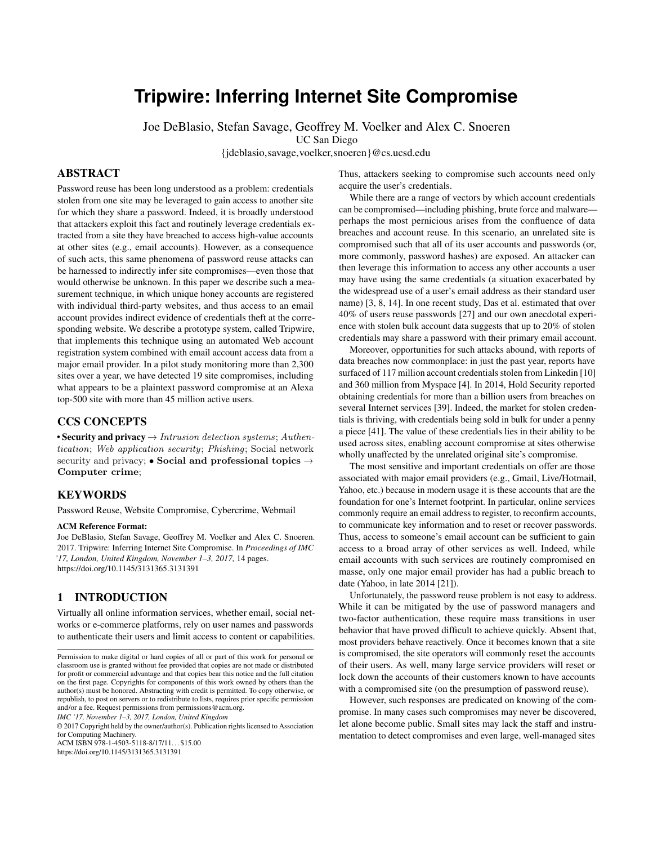# **Tripwire: Inferring Internet Site Compromise**

Joe DeBlasio, Stefan Savage, Geoffrey M. Voelker and Alex C. Snoeren

UC San Diego

{jdeblasio,savage,voelker,snoeren}@cs.ucsd.edu

# ABSTRACT

Password reuse has been long understood as a problem: credentials stolen from one site may be leveraged to gain access to another site for which they share a password. Indeed, it is broadly understood that attackers exploit this fact and routinely leverage credentials extracted from a site they have breached to access high-value accounts at other sites (e.g., email accounts). However, as a consequence of such acts, this same phenomena of password reuse attacks can be harnessed to indirectly infer site compromises—even those that would otherwise be unknown. In this paper we describe such a measurement technique, in which unique honey accounts are registered with individual third-party websites, and thus access to an email account provides indirect evidence of credentials theft at the corresponding website. We describe a prototype system, called Tripwire, that implements this technique using an automated Web account registration system combined with email account access data from a major email provider. In a pilot study monitoring more than 2,300 sites over a year, we have detected 19 site compromises, including what appears to be a plaintext password compromise at an Alexa top-500 site with more than 45 million active users.

# CCS CONCEPTS

• Security and privacy  $\rightarrow$  Intrusion detection systems; Authentication; Web application security; Phishing; Social network security and privacy; • Social and professional topics  $\rightarrow$ Computer crime;

# **KEYWORDS**

Password Reuse, Website Compromise, Cybercrime, Webmail

#### ACM Reference Format:

Joe DeBlasio, Stefan Savage, Geoffrey M. Voelker and Alex C. Snoeren. 2017. Tripwire: Inferring Internet Site Compromise. In *Proceedings of IMC '17, London, United Kingdom, November 1–3, 2017,* [14](#page-13-0) pages. <https://doi.org/10.1145/3131365.3131391>

# 1 INTRODUCTION

Virtually all online information services, whether email, social networks or e-commerce platforms, rely on user names and passwords to authenticate their users and limit access to content or capabilities.

*IMC '17, November 1–3, 2017, London, United Kingdom*

© 2017 Copyright held by the owner/author(s). Publication rights licensed to Association for Computing Machinery. ACM ISBN 978-1-4503-5118-8/17/11. . . \$15.00

<https://doi.org/10.1145/3131365.3131391>

Thus, attackers seeking to compromise such accounts need only acquire the user's credentials.

While there are a range of vectors by which account credentials can be compromised—including phishing, brute force and malware perhaps the most pernicious arises from the confluence of data breaches and account reuse. In this scenario, an unrelated site is compromised such that all of its user accounts and passwords (or, more commonly, password hashes) are exposed. An attacker can then leverage this information to access any other accounts a user may have using the same credentials (a situation exacerbated by the widespread use of a user's email address as their standard user name) [\[3,](#page-13-1) [8,](#page-13-2) [14\]](#page-13-3). In one recent study, Das et al. estimated that over 40% of users reuse passwords [\[27\]](#page-13-4) and our own anecdotal experience with stolen bulk account data suggests that up to 20% of stolen credentials may share a password with their primary email account.

Moreover, opportunities for such attacks abound, with reports of data breaches now commonplace: in just the past year, reports have surfaced of 117 million account credentials stolen from Linkedin [\[10\]](#page-13-5) and 360 million from Myspace [\[4\]](#page-13-6). In 2014, Hold Security reported obtaining credentials for more than a billion users from breaches on several Internet services [\[39\]](#page-13-7). Indeed, the market for stolen credentials is thriving, with credentials being sold in bulk for under a penny a piece [\[41\]](#page-13-8). The value of these credentials lies in their ability to be used across sites, enabling account compromise at sites otherwise wholly unaffected by the unrelated original site's compromise.

The most sensitive and important credentials on offer are those associated with major email providers (e.g., Gmail, Live/Hotmail, Yahoo, etc.) because in modern usage it is these accounts that are the foundation for one's Internet footprint. In particular, online services commonly require an email address to register, to reconfirm accounts, to communicate key information and to reset or recover passwords. Thus, access to someone's email account can be sufficient to gain access to a broad array of other services as well. Indeed, while email accounts with such services are routinely compromised en masse, only one major email provider has had a public breach to date (Yahoo, in late 2014 [\[21\]](#page-13-9)).

Unfortunately, the password reuse problem is not easy to address. While it can be mitigated by the use of password managers and two-factor authentication, these require mass transitions in user behavior that have proved difficult to achieve quickly. Absent that, most providers behave reactively. Once it becomes known that a site is compromised, the site operators will commonly reset the accounts of their users. As well, many large service providers will reset or lock down the accounts of their customers known to have accounts with a compromised site (on the presumption of password reuse).

However, such responses are predicated on knowing of the compromise. In many cases such compromises may never be discovered, let alone become public. Small sites may lack the staff and instrumentation to detect compromises and even large, well-managed sites

Permission to make digital or hard copies of all or part of this work for personal or classroom use is granted without fee provided that copies are not made or distributed for profit or commercial advantage and that copies bear this notice and the full citation on the first page. Copyrights for components of this work owned by others than the author(s) must be honored. Abstracting with credit is permitted. To copy otherwise, or republish, to post on servers or to redistribute to lists, requires prior specific permission and/or a fee. Request permissions from permissions@acm.org.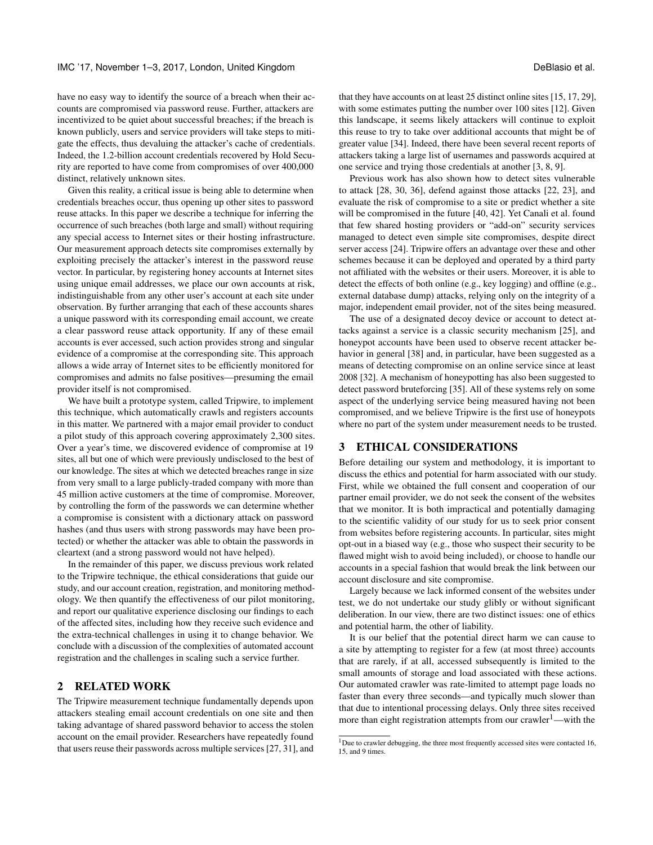have no easy way to identify the source of a breach when their accounts are compromised via password reuse. Further, attackers are incentivized to be quiet about successful breaches; if the breach is known publicly, users and service providers will take steps to mitigate the effects, thus devaluing the attacker's cache of credentials. Indeed, the 1.2-billion account credentials recovered by Hold Security are reported to have come from compromises of over 400,000

distinct, relatively unknown sites. Given this reality, a critical issue is being able to determine when credentials breaches occur, thus opening up other sites to password reuse attacks. In this paper we describe a technique for inferring the occurrence of such breaches (both large and small) without requiring any special access to Internet sites or their hosting infrastructure. Our measurement approach detects site compromises externally by exploiting precisely the attacker's interest in the password reuse vector. In particular, by registering honey accounts at Internet sites using unique email addresses, we place our own accounts at risk, indistinguishable from any other user's account at each site under observation. By further arranging that each of these accounts shares a unique password with its corresponding email account, we create a clear password reuse attack opportunity. If any of these email accounts is ever accessed, such action provides strong and singular evidence of a compromise at the corresponding site. This approach allows a wide array of Internet sites to be efficiently monitored for compromises and admits no false positives—presuming the email provider itself is not compromised.

We have built a prototype system, called Tripwire, to implement this technique, which automatically crawls and registers accounts in this matter. We partnered with a major email provider to conduct a pilot study of this approach covering approximately 2,300 sites. Over a year's time, we discovered evidence of compromise at 19 sites, all but one of which were previously undisclosed to the best of our knowledge. The sites at which we detected breaches range in size from very small to a large publicly-traded company with more than 45 million active customers at the time of compromise. Moreover, by controlling the form of the passwords we can determine whether a compromise is consistent with a dictionary attack on password hashes (and thus users with strong passwords may have been protected) or whether the attacker was able to obtain the passwords in cleartext (and a strong password would not have helped).

In the remainder of this paper, we discuss previous work related to the Tripwire technique, the ethical considerations that guide our study, and our account creation, registration, and monitoring methodology. We then quantify the effectiveness of our pilot monitoring, and report our qualitative experience disclosing our findings to each of the affected sites, including how they receive such evidence and the extra-technical challenges in using it to change behavior. We conclude with a discussion of the complexities of automated account registration and the challenges in scaling such a service further.

# 2 RELATED WORK

The Tripwire measurement technique fundamentally depends upon attackers stealing email account credentials on one site and then taking advantage of shared password behavior to access the stolen account on the email provider. Researchers have repeatedly found that users reuse their passwords across multiple services [\[27,](#page-13-4) [31\]](#page-13-10), and that they have accounts on at least 25 distinct online sites [\[15,](#page-13-11) [17,](#page-13-12) [29\]](#page-13-13), with some estimates putting the number over 100 sites [\[12\]](#page-13-14). Given this landscape, it seems likely attackers will continue to exploit this reuse to try to take over additional accounts that might be of greater value [\[34\]](#page-13-15). Indeed, there have been several recent reports of attackers taking a large list of usernames and passwords acquired at one service and trying those credentials at another [\[3,](#page-13-1) [8,](#page-13-2) [9\]](#page-13-16).

Previous work has also shown how to detect sites vulnerable to attack [\[28,](#page-13-17) [30,](#page-13-18) [36\]](#page-13-19), defend against those attacks [\[22,](#page-13-20) [23\]](#page-13-21), and evaluate the risk of compromise to a site or predict whether a site will be compromised in the future [\[40,](#page-13-22) [42\]](#page-13-23). Yet Canali et al. found that few shared hosting providers or "add-on" security services managed to detect even simple site compromises, despite direct server access [\[24\]](#page-13-24). Tripwire offers an advantage over these and other schemes because it can be deployed and operated by a third party not affiliated with the websites or their users. Moreover, it is able to detect the effects of both online (e.g., key logging) and offline (e.g., external database dump) attacks, relying only on the integrity of a major, independent email provider, not of the sites being measured.

The use of a designated decoy device or account to detect attacks against a service is a classic security mechanism [\[25\]](#page-13-25), and honeypot accounts have been used to observe recent attacker behavior in general [\[38\]](#page-13-26) and, in particular, have been suggested as a means of detecting compromise on an online service since at least 2008 [\[32\]](#page-13-27). A mechanism of honeypotting has also been suggested to detect password bruteforcing [\[35\]](#page-13-28). All of these systems rely on some aspect of the underlying service being measured having not been compromised, and we believe Tripwire is the first use of honeypots where no part of the system under measurement needs to be trusted.

### 3 ETHICAL CONSIDERATIONS

Before detailing our system and methodology, it is important to discuss the ethics and potential for harm associated with our study. First, while we obtained the full consent and cooperation of our partner email provider, we do not seek the consent of the websites that we monitor. It is both impractical and potentially damaging to the scientific validity of our study for us to seek prior consent from websites before registering accounts. In particular, sites might opt-out in a biased way (e.g., those who suspect their security to be flawed might wish to avoid being included), or choose to handle our accounts in a special fashion that would break the link between our account disclosure and site compromise.

Largely because we lack informed consent of the websites under test, we do not undertake our study glibly or without significant deliberation. In our view, there are two distinct issues: one of ethics and potential harm, the other of liability.

It is our belief that the potential direct harm we can cause to a site by attempting to register for a few (at most three) accounts that are rarely, if at all, accessed subsequently is limited to the small amounts of storage and load associated with these actions. Our automated crawler was rate-limited to attempt page loads no faster than every three seconds—and typically much slower than that due to intentional processing delays. Only three sites received more than eight registration attempts from our crawler<sup>[1](#page-1-0)</sup>—with the

<span id="page-1-0"></span> $1$ Due to crawler debugging, the three most frequently accessed sites were contacted 16, 15, and 9 times.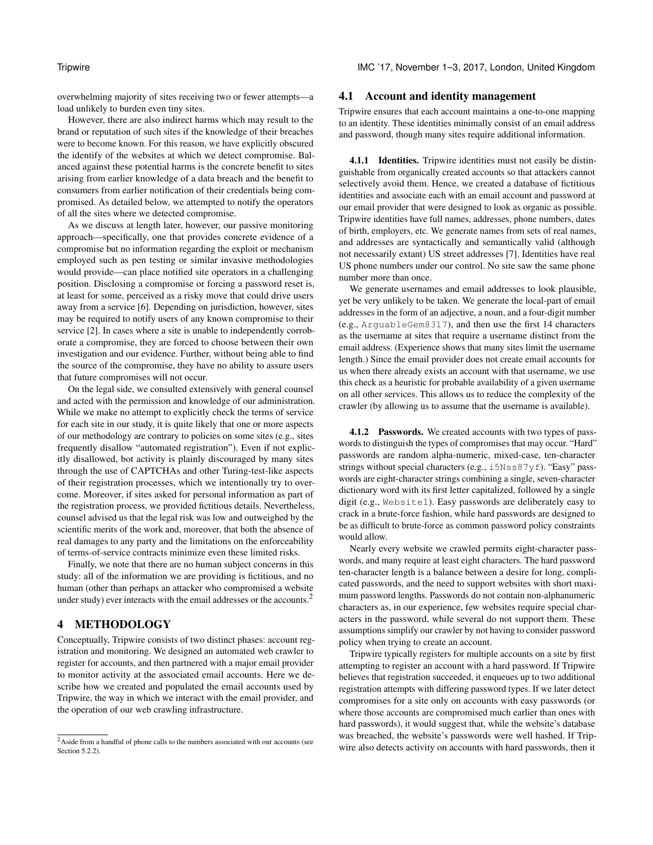overwhelming majority of sites receiving two or fewer attempts—a load unlikely to burden even tiny sites.

However, there are also indirect harms which may result to the brand or reputation of such sites if the knowledge of their breaches were to become known. For this reason, we have explicitly obscured the identify of the websites at which we detect compromise. Balanced against these potential harms is the concrete benefit to sites arising from earlier knowledge of a data breach and the benefit to consumers from earlier notification of their credentials being compromised. As detailed below, we attempted to notify the operators of all the sites where we detected compromise.

As we discuss at length later, however, our passive monitoring approach—specifically, one that provides concrete evidence of a compromise but no information regarding the exploit or mechanism employed such as pen testing or similar invasive methodologies would provide—can place notified site operators in a challenging position. Disclosing a compromise or forcing a password reset is, at least for some, perceived as a risky move that could drive users away from a service [\[6\]](#page-13-29). Depending on jurisdiction, however, sites may be required to notify users of any known compromise to their service [\[2\]](#page-13-30). In cases where a site is unable to independently corroborate a compromise, they are forced to choose between their own investigation and our evidence. Further, without being able to find the source of the compromise, they have no ability to assure users that future compromises will not occur.

On the legal side, we consulted extensively with general counsel and acted with the permission and knowledge of our administration. While we make no attempt to explicitly check the terms of service for each site in our study, it is quite likely that one or more aspects of our methodology are contrary to policies on some sites (e.g., sites frequently disallow "automated registration"). Even if not explicitly disallowed, bot activity is plainly discouraged by many sites through the use of CAPTCHAs and other Turing-test-like aspects of their registration processes, which we intentionally try to overcome. Moreover, if sites asked for personal information as part of the registration process, we provided fictitious details. Nevertheless, counsel advised us that the legal risk was low and outweighed by the scientific merits of the work and, moreover, that both the absence of real damages to any party and the limitations on the enforceability of terms-of-service contracts minimize even these limited risks.

Finally, we note that there are no human subject concerns in this study: all of the information we are providing is fictitious, and no human (other than perhaps an attacker who compromised a website under study) ever interacts with the email addresses or the accounts.<sup>[2](#page-2-0)</sup>

## 4 METHODOLOGY

Conceptually, Tripwire consists of two distinct phases: account registration and monitoring. We designed an automated web crawler to register for accounts, and then partnered with a major email provider to monitor activity at the associated email accounts. Here we describe how we created and populated the email accounts used by Tripwire, the way in which we interact with the email provider, and the operation of our web crawling infrastructure.

#### <span id="page-2-1"></span>4.1 Account and identity management

Tripwire ensures that each account maintains a one-to-one mapping to an identity. These identities minimally consist of an email address and password, though many sites require additional information.

4.1.1 Identities. Tripwire identities must not easily be distinguishable from organically created accounts so that attackers cannot selectively avoid them. Hence, we created a database of fictitious identities and associate each with an email account and password at our email provider that were designed to look as organic as possible. Tripwire identities have full names, addresses, phone numbers, dates of birth, employers, etc. We generate names from sets of real names, and addresses are syntactically and semantically valid (although not necessarily extant) US street addresses [\[7\]](#page-13-31). Identities have real US phone numbers under our control. No site saw the same phone number more than once.

We generate usernames and email addresses to look plausible, yet be very unlikely to be taken. We generate the local-part of email addresses in the form of an adjective, a noun, and a four-digit number (e.g., ArguableGem8317), and then use the first 14 characters as the username at sites that require a username distinct from the email address. (Experience shows that many sites limit the username length.) Since the email provider does not create email accounts for us when there already exists an account with that username, we use this check as a heuristic for probable availability of a given username on all other services. This allows us to reduce the complexity of the crawler (by allowing us to assume that the username is available).

4.1.2 Passwords. We created accounts with two types of passwords to distinguish the types of compromises that may occur. "Hard" passwords are random alpha-numeric, mixed-case, ten-character strings without special characters (e.g., i5Nss87yf). "Easy" passwords are eight-character strings combining a single, seven-character dictionary word with its first letter capitalized, followed by a single digit (e.g., Website1). Easy passwords are deliberately easy to crack in a brute-force fashion, while hard passwords are designed to be as difficult to brute-force as common password policy constraints would allow.

Nearly every website we crawled permits eight-character passwords, and many require at least eight characters. The hard password ten-character length is a balance between a desire for long, complicated passwords, and the need to support websites with short maximum password lengths. Passwords do not contain non-alphanumeric characters as, in our experience, few websites require special characters in the password, while several do not support them. These assumptions simplify our crawler by not having to consider password policy when trying to create an account.

Tripwire typically registers for multiple accounts on a site by first attempting to register an account with a hard password. If Tripwire believes that registration succeeded, it enqueues up to two additional registration attempts with differing password types. If we later detect compromises for a site only on accounts with easy passwords (or where those accounts are compromised much earlier than ones with hard passwords), it would suggest that, while the website's database was breached, the website's passwords were well hashed. If Tripwire also detects activity on accounts with hard passwords, then it

<span id="page-2-0"></span><sup>2</sup>Aside from a handful of phone calls to the numbers associated with our accounts (see Section [5.2.2\)](#page-5-0).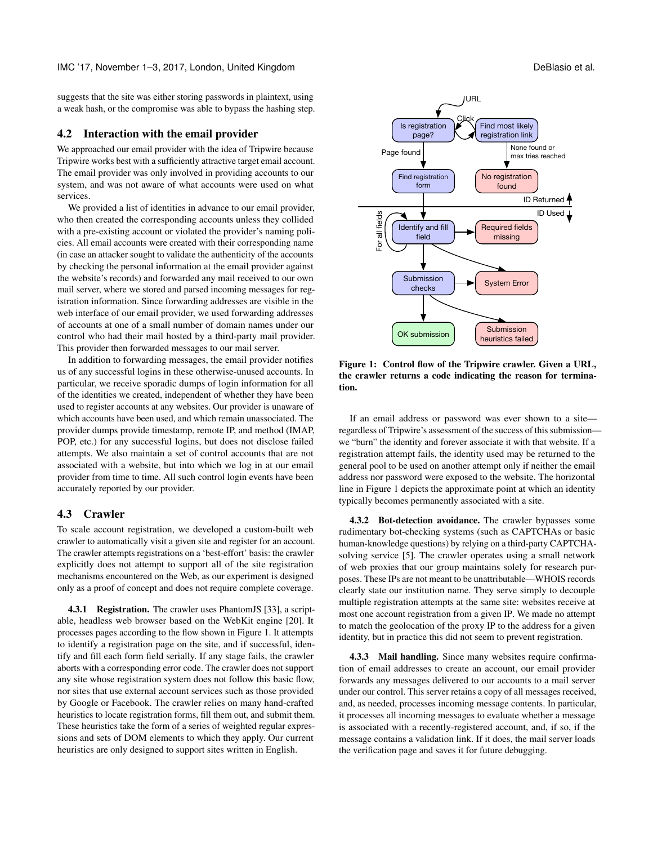suggests that the site was either storing passwords in plaintext, using a weak hash, or the compromise was able to bypass the hashing step.

# 4.2 Interaction with the email provider

We approached our email provider with the idea of Tripwire because Tripwire works best with a sufficiently attractive target email account. The email provider was only involved in providing accounts to our system, and was not aware of what accounts were used on what services.

We provided a list of identities in advance to our email provider, who then created the corresponding accounts unless they collided with a pre-existing account or violated the provider's naming policies. All email accounts were created with their corresponding name (in case an attacker sought to validate the authenticity of the accounts by checking the personal information at the email provider against the website's records) and forwarded any mail received to our own mail server, where we stored and parsed incoming messages for registration information. Since forwarding addresses are visible in the web interface of our email provider, we used forwarding addresses of accounts at one of a small number of domain names under our control who had their mail hosted by a third-party mail provider. This provider then forwarded messages to our mail server.

In addition to forwarding messages, the email provider notifies us of any successful logins in these otherwise-unused accounts. In particular, we receive sporadic dumps of login information for all of the identities we created, independent of whether they have been used to register accounts at any websites. Our provider is unaware of which accounts have been used, and which remain unassociated. The provider dumps provide timestamp, remote IP, and method (IMAP, POP, etc.) for any successful logins, but does not disclose failed attempts. We also maintain a set of control accounts that are not associated with a website, but into which we log in at our email provider from time to time. All such control login events have been accurately reported by our provider.

#### 4.3 Crawler

To scale account registration, we developed a custom-built web crawler to automatically visit a given site and register for an account. The crawler attempts registrations on a 'best-effort' basis: the crawler explicitly does not attempt to support all of the site registration mechanisms encountered on the Web, as our experiment is designed only as a proof of concept and does not require complete coverage.

4.3.1 Registration. The crawler uses PhantomJS [\[33\]](#page-13-32), a scriptable, headless web browser based on the WebKit engine [\[20\]](#page-13-33). It processes pages according to the flow shown in Figure [1.](#page-3-0) It attempts to identify a registration page on the site, and if successful, identify and fill each form field serially. If any stage fails, the crawler aborts with a corresponding error code. The crawler does not support any site whose registration system does not follow this basic flow, nor sites that use external account services such as those provided by Google or Facebook. The crawler relies on many hand-crafted heuristics to locate registration forms, fill them out, and submit them. These heuristics take the form of a series of weighted regular expressions and sets of DOM elements to which they apply. Our current heuristics are only designed to support sites written in English.

<span id="page-3-0"></span>

Figure 1: Control flow of the Tripwire crawler. Given a URL, the crawler returns a code indicating the reason for termination.

If an email address or password was ever shown to a site regardless of Tripwire's assessment of the success of this submission we "burn" the identity and forever associate it with that website. If a registration attempt fails, the identity used may be returned to the general pool to be used on another attempt only if neither the email address nor password were exposed to the website. The horizontal line in Figure [1](#page-3-0) depicts the approximate point at which an identity typically becomes permanently associated with a site.

4.3.2 Bot-detection avoidance. The crawler bypasses some rudimentary bot-checking systems (such as CAPTCHAs or basic human-knowledge questions) by relying on a third-party CAPTCHAsolving service [\[5\]](#page-13-34). The crawler operates using a small network of web proxies that our group maintains solely for research purposes. These IPs are not meant to be unattributable—WHOIS records clearly state our institution name. They serve simply to decouple multiple registration attempts at the same site: websites receive at most one account registration from a given IP. We made no attempt to match the geolocation of the proxy IP to the address for a given identity, but in practice this did not seem to prevent registration.

4.3.3 Mail handling. Since many websites require confirmation of email addresses to create an account, our email provider forwards any messages delivered to our accounts to a mail server under our control. This server retains a copy of all messages received, and, as needed, processes incoming message contents. In particular, it processes all incoming messages to evaluate whether a message is associated with a recently-registered account, and, if so, if the message contains a validation link. If it does, the mail server loads the verification page and saves it for future debugging.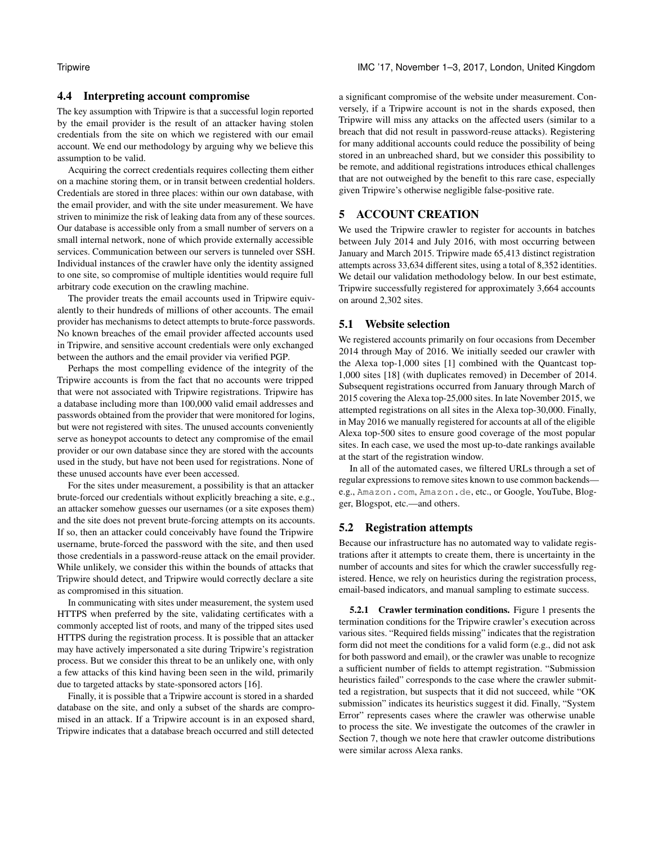### <span id="page-4-0"></span>4.4 Interpreting account compromise

The key assumption with Tripwire is that a successful login reported by the email provider is the result of an attacker having stolen credentials from the site on which we registered with our email account. We end our methodology by arguing why we believe this assumption to be valid.

Acquiring the correct credentials requires collecting them either on a machine storing them, or in transit between credential holders. Credentials are stored in three places: within our own database, with the email provider, and with the site under measurement. We have striven to minimize the risk of leaking data from any of these sources. Our database is accessible only from a small number of servers on a small internal network, none of which provide externally accessible services. Communication between our servers is tunneled over SSH. Individual instances of the crawler have only the identity assigned to one site, so compromise of multiple identities would require full arbitrary code execution on the crawling machine.

The provider treats the email accounts used in Tripwire equivalently to their hundreds of millions of other accounts. The email provider has mechanisms to detect attempts to brute-force passwords. No known breaches of the email provider affected accounts used in Tripwire, and sensitive account credentials were only exchanged between the authors and the email provider via verified PGP.

Perhaps the most compelling evidence of the integrity of the Tripwire accounts is from the fact that no accounts were tripped that were not associated with Tripwire registrations. Tripwire has a database including more than 100,000 valid email addresses and passwords obtained from the provider that were monitored for logins, but were not registered with sites. The unused accounts conveniently serve as honeypot accounts to detect any compromise of the email provider or our own database since they are stored with the accounts used in the study, but have not been used for registrations. None of these unused accounts have ever been accessed.

For the sites under measurement, a possibility is that an attacker brute-forced our credentials without explicitly breaching a site, e.g., an attacker somehow guesses our usernames (or a site exposes them) and the site does not prevent brute-forcing attempts on its accounts. If so, then an attacker could conceivably have found the Tripwire username, brute-forced the password with the site, and then used those credentials in a password-reuse attack on the email provider. While unlikely, we consider this within the bounds of attacks that Tripwire should detect, and Tripwire would correctly declare a site as compromised in this situation.

In communicating with sites under measurement, the system used HTTPS when preferred by the site, validating certificates with a commonly accepted list of roots, and many of the tripped sites used HTTPS during the registration process. It is possible that an attacker may have actively impersonated a site during Tripwire's registration process. But we consider this threat to be an unlikely one, with only a few attacks of this kind having been seen in the wild, primarily due to targeted attacks by state-sponsored actors [\[16\]](#page-13-35).

Finally, it is possible that a Tripwire account is stored in a sharded database on the site, and only a subset of the shards are compromised in an attack. If a Tripwire account is in an exposed shard, Tripwire indicates that a database breach occurred and still detected

a significant compromise of the website under measurement. Conversely, if a Tripwire account is not in the shards exposed, then Tripwire will miss any attacks on the affected users (similar to a breach that did not result in password-reuse attacks). Registering for many additional accounts could reduce the possibility of being stored in an unbreached shard, but we consider this possibility to be remote, and additional registrations introduces ethical challenges that are not outweighed by the benefit to this rare case, especially given Tripwire's otherwise negligible false-positive rate.

# 5 ACCOUNT CREATION

We used the Tripwire crawler to register for accounts in batches between July 2014 and July 2016, with most occurring between January and March 2015. Tripwire made 65,413 distinct registration attempts across 33,634 different sites, using a total of 8,352 identities. We detail our validation methodology below. In our best estimate, Tripwire successfully registered for approximately 3,664 accounts on around 2,302 sites.

# <span id="page-4-1"></span>5.1 Website selection

We registered accounts primarily on four occasions from December 2014 through May of 2016. We initially seeded our crawler with the Alexa top-1,000 sites [\[1\]](#page-13-36) combined with the Quantcast top-1,000 sites [\[18\]](#page-13-37) (with duplicates removed) in December of 2014. Subsequent registrations occurred from January through March of 2015 covering the Alexa top-25,000 sites. In late November 2015, we attempted registrations on all sites in the Alexa top-30,000. Finally, in May 2016 we manually registered for accounts at all of the eligible Alexa top-500 sites to ensure good coverage of the most popular sites. In each case, we used the most up-to-date rankings available at the start of the registration window.

In all of the automated cases, we filtered URLs through a set of regular expressions to remove sites known to use common backends e.g., Amazon.com, Amazon.de, etc., or Google, YouTube, Blogger, Blogspot, etc.—and others.

### 5.2 Registration attempts

Because our infrastructure has no automated way to validate registrations after it attempts to create them, there is uncertainty in the number of accounts and sites for which the crawler successfully registered. Hence, we rely on heuristics during the registration process, email-based indicators, and manual sampling to estimate success.

5.2.1 Crawler termination conditions. Figure [1](#page-3-0) presents the termination conditions for the Tripwire crawler's execution across various sites. "Required fields missing" indicates that the registration form did not meet the conditions for a valid form (e.g., did not ask for both password and email), or the crawler was unable to recognize a sufficient number of fields to attempt registration. "Submission heuristics failed" corresponds to the case where the crawler submitted a registration, but suspects that it did not succeed, while "OK submission" indicates its heuristics suggest it did. Finally, "System Error" represents cases where the crawler was otherwise unable to process the site. We investigate the outcomes of the crawler in Section [7,](#page-10-0) though we note here that crawler outcome distributions were similar across Alexa ranks.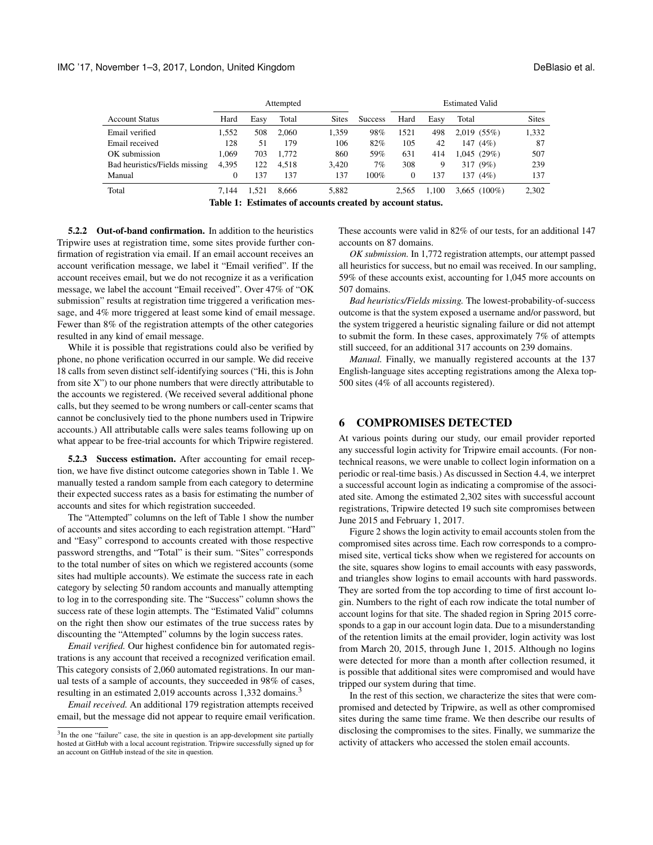<span id="page-5-1"></span>

|                               | Attempted |       |       |                                                                                            | <b>Estimated Valid</b> |          |       |                  |                |              |
|-------------------------------|-----------|-------|-------|--------------------------------------------------------------------------------------------|------------------------|----------|-------|------------------|----------------|--------------|
| <b>Account Status</b>         | Hard      | Easy  | Total | <b>Sites</b>                                                                               | Success                | Hard     | Easy  | Total            |                | <b>Sites</b> |
| Email verified                | 1,552     | 508   | 2.060 | 1,359                                                                                      | 98%                    | 1521     | 498   | $2,019$ $(55\%)$ |                | 1,332        |
| Email received                | 128       | 51    | 179   | 106                                                                                        | 82%                    | 105      | 42    |                  | 147 (4%)       | 87           |
| OK submission                 | 1.069     | 703   | 1.772 | 860                                                                                        | 59%                    | 631      | 414   |                  | 1.045(29%)     | 507          |
| Bad heuristics/Fields missing | 4,395     | 122   | 4.518 | 3,420                                                                                      | 7%                     | 308      | 9     |                  | 317 (9%)       | 239          |
| Manual                        | $\Omega$  | 137   | 137   | 137                                                                                        | $100\%$                | $\theta$ | 137   |                  | 137(4%)        | 137          |
| Total                         | 7.144     | 1.521 | 8.666 | 5,882                                                                                      |                        | 2.565    | 1.100 |                  | $3.665(100\%)$ | 2,302        |
|                               |           |       |       | The black to The Constantine of a concernation accorded bar a concernation of the constant |                        |          |       |                  |                |              |

Table 1: Estimates of accounts created by account status.

<span id="page-5-0"></span>5.2.2 Out-of-band confirmation. In addition to the heuristics Tripwire uses at registration time, some sites provide further confirmation of registration via email. If an email account receives an account verification message, we label it "Email verified". If the account receives email, but we do not recognize it as a verification message, we label the account "Email received". Over 47% of "OK submission" results at registration time triggered a verification message, and 4% more triggered at least some kind of email message. Fewer than 8% of the registration attempts of the other categories resulted in any kind of email message.

While it is possible that registrations could also be verified by phone, no phone verification occurred in our sample. We did receive 18 calls from seven distinct self-identifying sources ("Hi, this is John from site X") to our phone numbers that were directly attributable to the accounts we registered. (We received several additional phone calls, but they seemed to be wrong numbers or call-center scams that cannot be conclusively tied to the phone numbers used in Tripwire accounts.) All attributable calls were sales teams following up on what appear to be free-trial accounts for which Tripwire registered.

<span id="page-5-3"></span>5.2.3 Success estimation. After accounting for email reception, we have five distinct outcome categories shown in Table [1.](#page-5-1) We manually tested a random sample from each category to determine their expected success rates as a basis for estimating the number of accounts and sites for which registration succeeded.

The "Attempted" columns on the left of Table [1](#page-5-1) show the number of accounts and sites according to each registration attempt. "Hard" and "Easy" correspond to accounts created with those respective password strengths, and "Total" is their sum. "Sites" corresponds to the total number of sites on which we registered accounts (some sites had multiple accounts). We estimate the success rate in each category by selecting 50 random accounts and manually attempting to log in to the corresponding site. The "Success" column shows the success rate of these login attempts. The "Estimated Valid" columns on the right then show our estimates of the true success rates by discounting the "Attempted" columns by the login success rates.

*Email verified.* Our highest confidence bin for automated registrations is any account that received a recognized verification email. This category consists of 2,060 automated registrations. In our manual tests of a sample of accounts, they succeeded in 98% of cases, resulting in an estimated 2,019 accounts across 1,332 domains.[3](#page-5-2)

*Email received.* An additional 179 registration attempts received email, but the message did not appear to require email verification. These accounts were valid in 82% of our tests, for an additional 147 accounts on 87 domains.

*OK submission.* In 1,772 registration attempts, our attempt passed all heuristics for success, but no email was received. In our sampling, 59% of these accounts exist, accounting for 1,045 more accounts on 507 domains.

*Bad heuristics/Fields missing.* The lowest-probability-of-success outcome is that the system exposed a username and/or password, but the system triggered a heuristic signaling failure or did not attempt to submit the form. In these cases, approximately 7% of attempts still succeed, for an additional 317 accounts on 239 domains.

*Manual.* Finally, we manually registered accounts at the 137 English-language sites accepting registrations among the Alexa top-500 sites (4% of all accounts registered).

# 6 COMPROMISES DETECTED

At various points during our study, our email provider reported any successful login activity for Tripwire email accounts. (For nontechnical reasons, we were unable to collect login information on a periodic or real-time basis.) As discussed in Section [4.4,](#page-4-0) we interpret a successful account login as indicating a compromise of the associated site. Among the estimated 2,302 sites with successful account registrations, Tripwire detected 19 such site compromises between June 2015 and February 1, 2017.

Figure [2](#page-6-0) shows the login activity to email accounts stolen from the compromised sites across time. Each row corresponds to a compromised site, vertical ticks show when we registered for accounts on the site, squares show logins to email accounts with easy passwords, and triangles show logins to email accounts with hard passwords. They are sorted from the top according to time of first account login. Numbers to the right of each row indicate the total number of account logins for that site. The shaded region in Spring 2015 corresponds to a gap in our account login data. Due to a misunderstanding of the retention limits at the email provider, login activity was lost from March 20, 2015, through June 1, 2015. Although no logins were detected for more than a month after collection resumed, it is possible that additional sites were compromised and would have tripped our system during that time.

In the rest of this section, we characterize the sites that were compromised and detected by Tripwire, as well as other compromised sites during the same time frame. We then describe our results of disclosing the compromises to the sites. Finally, we summarize the activity of attackers who accessed the stolen email accounts.

<span id="page-5-2"></span><sup>&</sup>lt;sup>3</sup>In the one "failure" case, the site in question is an app-development site partially hosted at GitHub with a local account registration. Tripwire successfully signed up for an account on GitHub instead of the site in question.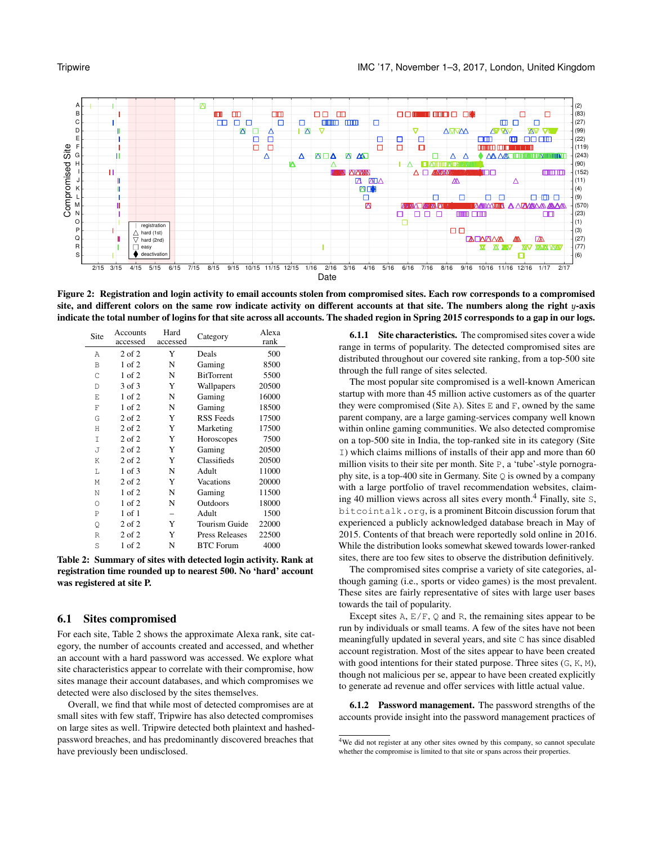<span id="page-6-0"></span>

Figure 2: Registration and login activity to email accounts stolen from compromised sites. Each row corresponds to a compromised site, and different colors on the same row indicate activity on different accounts at that site. The numbers along the right y-axis indicate the total number of logins for that site across all accounts. The shaded region in Spring 2015 corresponds to a gap in our logs.

<span id="page-6-1"></span>

| Site | Accounts<br>accessed | Hard<br>accessed         | Category              | Alexa<br>rank |
|------|----------------------|--------------------------|-----------------------|---------------|
| A    | 2 of 2               | Y                        | Deals                 | 500           |
| B    | 1 of 2               | N                        | Gaming                | 8500          |
| C    | 1 of 2               | N                        | <b>BitTorrent</b>     | 5500          |
| D    | 3 of 3               | Y                        | Wallpapers            | 20500         |
| E    | 1 of 2               | N                        | Gaming                | 16000         |
| F    | 1 of 2               | N                        | Gaming                | 18500         |
| G    | 2 of 2               | Y                        | <b>RSS</b> Feeds      | 17500         |
| H    | 2 of 2               | Y                        | Marketing             | 17500         |
| Τ    | 2 of 2               | Y                        | Horoscopes            | 7500          |
| J    | 2 of 2               | Y                        | Gaming                | 20500         |
| K    | 2 of 2               | Y                        | Classifieds           | 20500         |
| T.   | $1$ of $3$           | N                        | Adult                 | 11000         |
| М    | 2 of 2               | Y                        | Vacations             | 20000         |
| N    | 1 of 2               | N                        | Gaming                | 11500         |
| O    | 1 of 2               | N                        | Outdoors              | 18000         |
| P    | 1 of 1               | $\overline{\phantom{0}}$ | Adult                 | 1500          |
| Q    | 2 of 2               | Y                        | Tourism Guide         | 22000         |
| R    | 2 of 2               | Y                        | <b>Press Releases</b> | 22500         |
| S    | 1 of 2               | N                        | <b>BTC</b> Forum      | 4000          |

Table 2: Summary of sites with detected login activity. Rank at registration time rounded up to nearest 500. No 'hard' account was registered at site P.

#### 6.1 Sites compromised

For each site, Table [2](#page-6-1) shows the approximate Alexa rank, site category, the number of accounts created and accessed, and whether an account with a hard password was accessed. We explore what site characteristics appear to correlate with their compromise, how sites manage their account databases, and which compromises we detected were also disclosed by the sites themselves.

Overall, we find that while most of detected compromises are at small sites with few staff, Tripwire has also detected compromises on large sites as well. Tripwire detected both plaintext and hashedpassword breaches, and has predominantly discovered breaches that have previously been undisclosed.

6.1.1 Site characteristics. The compromised sites cover a wide range in terms of popularity. The detected compromised sites are distributed throughout our covered site ranking, from a top-500 site through the full range of sites selected.

The most popular site compromised is a well-known American startup with more than 45 million active customers as of the quarter they were compromised (Site A). Sites  $E$  and  $F$ , owned by the same parent company, are a large gaming-services company well known within online gaming communities. We also detected compromise on a top-500 site in India, the top-ranked site in its category (Site I) which claims millions of installs of their app and more than 60 million visits to their site per month. Site P, a 'tube'-style pornography site, is a top-400 site in Germany. Site  $Q$  is owned by a company with a large portfolio of travel recommendation websites, claim-ing [4](#page-6-2)0 million views across all sites every month.<sup>4</sup> Finally, site  $\mathcal{S}$ , bitcointalk.org, is a prominent Bitcoin discussion forum that experienced a publicly acknowledged database breach in May of 2015. Contents of that breach were reportedly sold online in 2016. While the distribution looks somewhat skewed towards lower-ranked sites, there are too few sites to observe the distribution definitively.

The compromised sites comprise a variety of site categories, although gaming (i.e., sports or video games) is the most prevalent. These sites are fairly representative of sites with large user bases towards the tail of popularity.

Except sites A,  $E/F$ , Q and R, the remaining sites appear to be run by individuals or small teams. A few of the sites have not been meaningfully updated in several years, and site C has since disabled account registration. Most of the sites appear to have been created with good intentions for their stated purpose. Three sites (G, K, M), though not malicious per se, appear to have been created explicitly to generate ad revenue and offer services with little actual value.

6.1.2 Password management. The password strengths of the accounts provide insight into the password management practices of

<span id="page-6-2"></span><sup>&</sup>lt;sup>4</sup>We did not register at any other sites owned by this company, so cannot speculate whether the compromise is limited to that site or spans across their properties.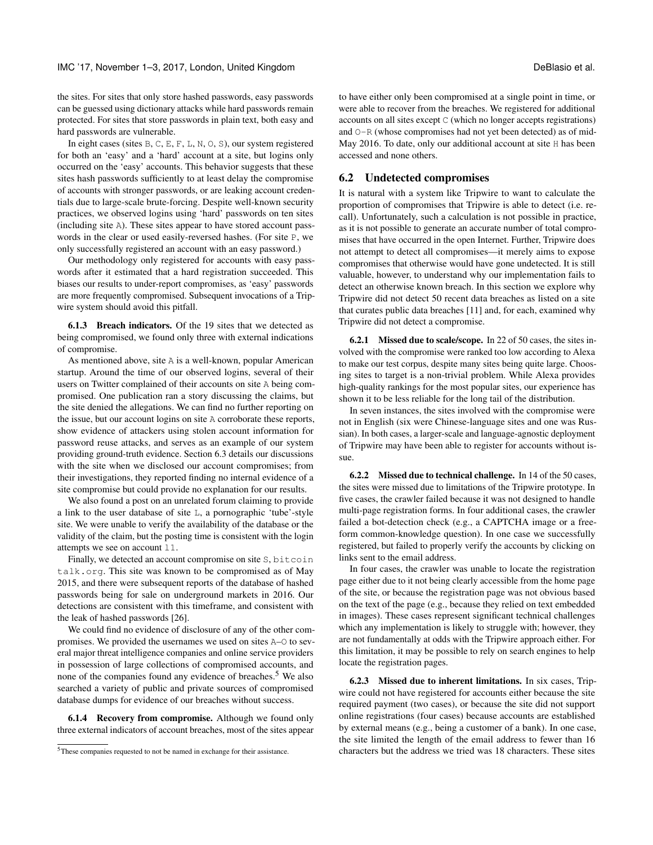#### IMC '17, November 1–3, 2017, London, United Kingdom **Deblasio et al.** DeBlasio et al.

the sites. For sites that only store hashed passwords, easy passwords can be guessed using dictionary attacks while hard passwords remain protected. For sites that store passwords in plain text, both easy and hard passwords are vulnerable.

In eight cases (sites B, C, E, F, L, N, O, S), our system registered for both an 'easy' and a 'hard' account at a site, but logins only occurred on the 'easy' accounts. This behavior suggests that these sites hash passwords sufficiently to at least delay the compromise of accounts with stronger passwords, or are leaking account credentials due to large-scale brute-forcing. Despite well-known security practices, we observed logins using 'hard' passwords on ten sites (including site A). These sites appear to have stored account passwords in the clear or used easily-reversed hashes. (For site P, we only successfully registered an account with an easy password.)

Our methodology only registered for accounts with easy passwords after it estimated that a hard registration succeeded. This biases our results to under-report compromises, as 'easy' passwords are more frequently compromised. Subsequent invocations of a Tripwire system should avoid this pitfall.

<span id="page-7-1"></span>6.1.3 Breach indicators. Of the 19 sites that we detected as being compromised, we found only three with external indications of compromise.

As mentioned above, site A is a well-known, popular American startup. Around the time of our observed logins, several of their users on Twitter complained of their accounts on site A being compromised. One publication ran a story discussing the claims, but the site denied the allegations. We can find no further reporting on the issue, but our account logins on site A corroborate these reports, show evidence of attackers using stolen account information for password reuse attacks, and serves as an example of our system providing ground-truth evidence. Section [6.3](#page-8-0) details our discussions with the site when we disclosed our account compromises; from their investigations, they reported finding no internal evidence of a site compromise but could provide no explanation for our results.

We also found a post on an unrelated forum claiming to provide a link to the user database of site L, a pornographic 'tube'-style site. We were unable to verify the availability of the database or the validity of the claim, but the posting time is consistent with the login attempts we see on account l1.

Finally, we detected an account compromise on site S, bitcoin talk.org. This site was known to be compromised as of May 2015, and there were subsequent reports of the database of hashed passwords being for sale on underground markets in 2016. Our detections are consistent with this timeframe, and consistent with the leak of hashed passwords [\[26\]](#page-13-38).

We could find no evidence of disclosure of any of the other compromises. We provided the usernames we used on sites A–O to several major threat intelligence companies and online service providers in possession of large collections of compromised accounts, and none of the companies found any evidence of breaches.[5](#page-7-0) We also searched a variety of public and private sources of compromised database dumps for evidence of our breaches without success.

6.1.4 Recovery from compromise. Although we found only three external indicators of account breaches, most of the sites appear to have either only been compromised at a single point in time, or were able to recover from the breaches. We registered for additional accounts on all sites except C (which no longer accepts registrations) and O-R (whose compromises had not yet been detected) as of mid-May 2016. To date, only our additional account at site H has been accessed and none others.

#### 6.2 Undetected compromises

It is natural with a system like Tripwire to want to calculate the proportion of compromises that Tripwire is able to detect (i.e. recall). Unfortunately, such a calculation is not possible in practice, as it is not possible to generate an accurate number of total compromises that have occurred in the open Internet. Further, Tripwire does not attempt to detect all compromises—it merely aims to expose compromises that otherwise would have gone undetected. It is still valuable, however, to understand why our implementation fails to detect an otherwise known breach. In this section we explore why Tripwire did not detect 50 recent data breaches as listed on a site that curates public data breaches [\[11\]](#page-13-39) and, for each, examined why Tripwire did not detect a compromise.

6.2.1 Missed due to scale/scope. In 22 of 50 cases, the sites involved with the compromise were ranked too low according to Alexa to make our test corpus, despite many sites being quite large. Choosing sites to target is a non-trivial problem. While Alexa provides high-quality rankings for the most popular sites, our experience has shown it to be less reliable for the long tail of the distribution.

In seven instances, the sites involved with the compromise were not in English (six were Chinese-language sites and one was Russian). In both cases, a larger-scale and language-agnostic deployment of Tripwire may have been able to register for accounts without issue.

6.2.2 Missed due to technical challenge. In 14 of the 50 cases, the sites were missed due to limitations of the Tripwire prototype. In five cases, the crawler failed because it was not designed to handle multi-page registration forms. In four additional cases, the crawler failed a bot-detection check (e.g., a CAPTCHA image or a freeform common-knowledge question). In one case we successfully registered, but failed to properly verify the accounts by clicking on links sent to the email address.

In four cases, the crawler was unable to locate the registration page either due to it not being clearly accessible from the home page of the site, or because the registration page was not obvious based on the text of the page (e.g., because they relied on text embedded in images). These cases represent significant technical challenges which any implementation is likely to struggle with; however, they are not fundamentally at odds with the Tripwire approach either. For this limitation, it may be possible to rely on search engines to help locate the registration pages.

6.2.3 Missed due to inherent limitations. In six cases, Tripwire could not have registered for accounts either because the site required payment (two cases), or because the site did not support online registrations (four cases) because accounts are established by external means (e.g., being a customer of a bank). In one case, the site limited the length of the email address to fewer than 16 characters but the address we tried was 18 characters. These sites

<span id="page-7-0"></span><sup>5</sup>These companies requested to not be named in exchange for their assistance.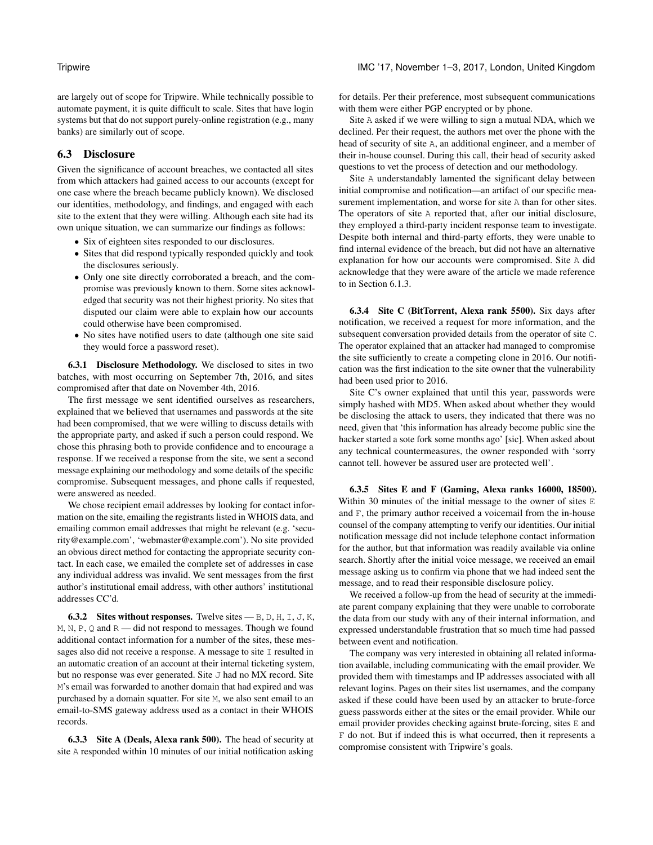are largely out of scope for Tripwire. While technically possible to automate payment, it is quite difficult to scale. Sites that have login systems but that do not support purely-online registration (e.g., many banks) are similarly out of scope.

# <span id="page-8-0"></span>6.3 Disclosure

Given the significance of account breaches, we contacted all sites from which attackers had gained access to our accounts (except for one case where the breach became publicly known). We disclosed our identities, methodology, and findings, and engaged with each site to the extent that they were willing. Although each site had its own unique situation, we can summarize our findings as follows:

- Six of eighteen sites responded to our disclosures.
- Sites that did respond typically responded quickly and took the disclosures seriously.
- Only one site directly corroborated a breach, and the compromise was previously known to them. Some sites acknowledged that security was not their highest priority. No sites that disputed our claim were able to explain how our accounts could otherwise have been compromised.
- No sites have notified users to date (although one site said they would force a password reset).

6.3.1 Disclosure Methodology. We disclosed to sites in two batches, with most occurring on September 7th, 2016, and sites compromised after that date on November 4th, 2016.

The first message we sent identified ourselves as researchers, explained that we believed that usernames and passwords at the site had been compromised, that we were willing to discuss details with the appropriate party, and asked if such a person could respond. We chose this phrasing both to provide confidence and to encourage a response. If we received a response from the site, we sent a second message explaining our methodology and some details of the specific compromise. Subsequent messages, and phone calls if requested, were answered as needed.

We chose recipient email addresses by looking for contact information on the site, emailing the registrants listed in WHOIS data, and emailing common email addresses that might be relevant (e.g. 'security@example.com', 'webmaster@example.com'). No site provided an obvious direct method for contacting the appropriate security contact. In each case, we emailed the complete set of addresses in case any individual address was invalid. We sent messages from the first author's institutional email address, with other authors' institutional addresses CC'd.

**6.3.2** Sites without responses. Twelve sites  $- B$ , D, H, I, J, K, M, N, P, Q and R — did not respond to messages. Though we found additional contact information for a number of the sites, these messages also did not receive a response. A message to site I resulted in an automatic creation of an account at their internal ticketing system, but no response was ever generated. Site J had no MX record. Site M's email was forwarded to another domain that had expired and was purchased by a domain squatter. For site M, we also sent email to an email-to-SMS gateway address used as a contact in their WHOIS records.

6.3.3 Site A (Deals, Alexa rank 500). The head of security at site A responded within 10 minutes of our initial notification asking

for details. Per their preference, most subsequent communications with them were either PGP encrypted or by phone.

Site A asked if we were willing to sign a mutual NDA, which we declined. Per their request, the authors met over the phone with the head of security of site A, an additional engineer, and a member of their in-house counsel. During this call, their head of security asked questions to vet the process of detection and our methodology.

Site A understandably lamented the significant delay between initial compromise and notification—an artifact of our specific measurement implementation, and worse for site A than for other sites. The operators of site A reported that, after our initial disclosure, they employed a third-party incident response team to investigate. Despite both internal and third-party efforts, they were unable to find internal evidence of the breach, but did not have an alternative explanation for how our accounts were compromised. Site A did acknowledge that they were aware of the article we made reference to in Section [6.1.3.](#page-7-1)

6.3.4 Site C (BitTorrent, Alexa rank 5500). Six days after notification, we received a request for more information, and the subsequent conversation provided details from the operator of site C. The operator explained that an attacker had managed to compromise the site sufficiently to create a competing clone in 2016. Our notification was the first indication to the site owner that the vulnerability had been used prior to 2016.

Site C's owner explained that until this year, passwords were simply hashed with MD5. When asked about whether they would be disclosing the attack to users, they indicated that there was no need, given that 'this information has already become public sine the hacker started a sote fork some months ago' [sic]. When asked about any technical countermeasures, the owner responded with 'sorry cannot tell. however be assured user are protected well'.

6.3.5 Sites E and F (Gaming, Alexa ranks 16000, 18500). Within 30 minutes of the initial message to the owner of sites E and F, the primary author received a voicemail from the in-house counsel of the company attempting to verify our identities. Our initial notification message did not include telephone contact information for the author, but that information was readily available via online search. Shortly after the initial voice message, we received an email message asking us to confirm via phone that we had indeed sent the message, and to read their responsible disclosure policy.

We received a follow-up from the head of security at the immediate parent company explaining that they were unable to corroborate the data from our study with any of their internal information, and expressed understandable frustration that so much time had passed between event and notification.

The company was very interested in obtaining all related information available, including communicating with the email provider. We provided them with timestamps and IP addresses associated with all relevant logins. Pages on their sites list usernames, and the company asked if these could have been used by an attacker to brute-force guess passwords either at the sites or the email provider. While our email provider provides checking against brute-forcing, sites  $E$  and F do not. But if indeed this is what occurred, then it represents a compromise consistent with Tripwire's goals.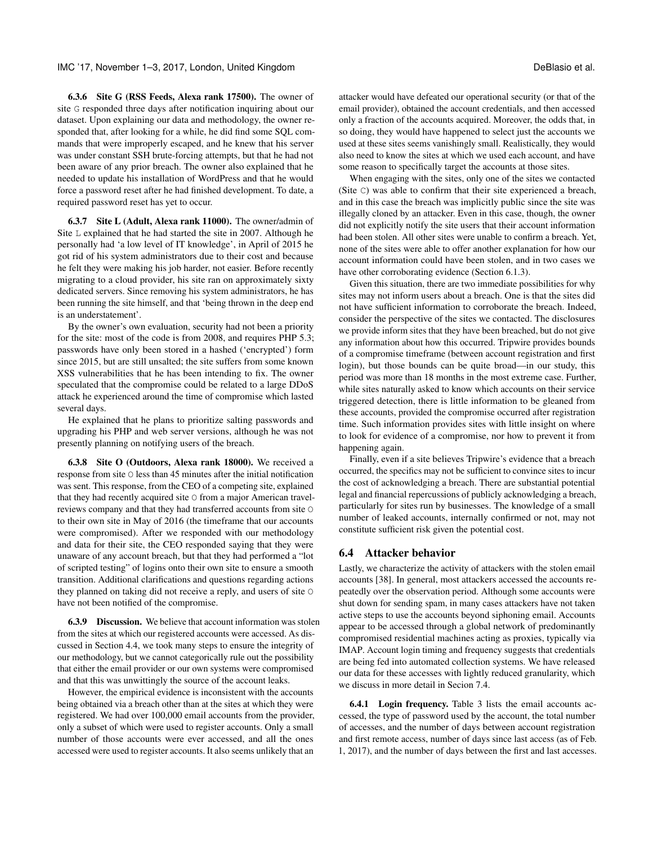#### IMC '17, November 1–3, 2017, London, United Kingdom **Deblasio et al.** DeBlasio et al.

6.3.6 Site G (RSS Feeds, Alexa rank 17500). The owner of site G responded three days after notification inquiring about our dataset. Upon explaining our data and methodology, the owner responded that, after looking for a while, he did find some SQL commands that were improperly escaped, and he knew that his server was under constant SSH brute-forcing attempts, but that he had not been aware of any prior breach. The owner also explained that he needed to update his installation of WordPress and that he would force a password reset after he had finished development. To date, a required password reset has yet to occur.

6.3.7 Site L (Adult, Alexa rank 11000). The owner/admin of Site L explained that he had started the site in 2007. Although he personally had 'a low level of IT knowledge', in April of 2015 he got rid of his system administrators due to their cost and because he felt they were making his job harder, not easier. Before recently migrating to a cloud provider, his site ran on approximately sixty dedicated servers. Since removing his system administrators, he has been running the site himself, and that 'being thrown in the deep end is an understatement'.

By the owner's own evaluation, security had not been a priority for the site: most of the code is from 2008, and requires PHP 5.3; passwords have only been stored in a hashed ('encrypted') form since 2015, but are still unsalted; the site suffers from some known XSS vulnerabilities that he has been intending to fix. The owner speculated that the compromise could be related to a large DDoS attack he experienced around the time of compromise which lasted several days.

He explained that he plans to prioritize salting passwords and upgrading his PHP and web server versions, although he was not presently planning on notifying users of the breach.

6.3.8 Site O (Outdoors, Alexa rank 18000). We received a response from site O less than 45 minutes after the initial notification was sent. This response, from the CEO of a competing site, explained that they had recently acquired site O from a major American travelreviews company and that they had transferred accounts from site O to their own site in May of 2016 (the timeframe that our accounts were compromised). After we responded with our methodology and data for their site, the CEO responded saying that they were unaware of any account breach, but that they had performed a "lot of scripted testing" of logins onto their own site to ensure a smooth transition. Additional clarifications and questions regarding actions they planned on taking did not receive a reply, and users of site O have not been notified of the compromise.

6.3.9 Discussion. We believe that account information was stolen from the sites at which our registered accounts were accessed. As discussed in Section [4.4,](#page-4-0) we took many steps to ensure the integrity of our methodology, but we cannot categorically rule out the possibility that either the email provider or our own systems were compromised and that this was unwittingly the source of the account leaks.

However, the empirical evidence is inconsistent with the accounts being obtained via a breach other than at the sites at which they were registered. We had over 100,000 email accounts from the provider, only a subset of which were used to register accounts. Only a small number of those accounts were ever accessed, and all the ones accessed were used to register accounts. It also seems unlikely that an

attacker would have defeated our operational security (or that of the email provider), obtained the account credentials, and then accessed only a fraction of the accounts acquired. Moreover, the odds that, in so doing, they would have happened to select just the accounts we used at these sites seems vanishingly small. Realistically, they would also need to know the sites at which we used each account, and have some reason to specifically target the accounts at those sites.

When engaging with the sites, only one of the sites we contacted (Site C) was able to confirm that their site experienced a breach, and in this case the breach was implicitly public since the site was illegally cloned by an attacker. Even in this case, though, the owner did not explicitly notify the site users that their account information had been stolen. All other sites were unable to confirm a breach. Yet, none of the sites were able to offer another explanation for how our account information could have been stolen, and in two cases we have other corroborating evidence (Section [6.1.3\)](#page-7-1).

Given this situation, there are two immediate possibilities for why sites may not inform users about a breach. One is that the sites did not have sufficient information to corroborate the breach. Indeed, consider the perspective of the sites we contacted. The disclosures we provide inform sites that they have been breached, but do not give any information about how this occurred. Tripwire provides bounds of a compromise timeframe (between account registration and first login), but those bounds can be quite broad—in our study, this period was more than 18 months in the most extreme case. Further, while sites naturally asked to know which accounts on their service triggered detection, there is little information to be gleaned from these accounts, provided the compromise occurred after registration time. Such information provides sites with little insight on where to look for evidence of a compromise, nor how to prevent it from happening again.

Finally, even if a site believes Tripwire's evidence that a breach occurred, the specifics may not be sufficient to convince sites to incur the cost of acknowledging a breach. There are substantial potential legal and financial repercussions of publicly acknowledging a breach, particularly for sites run by businesses. The knowledge of a small number of leaked accounts, internally confirmed or not, may not constitute sufficient risk given the potential cost.

#### 6.4 Attacker behavior

Lastly, we characterize the activity of attackers with the stolen email accounts [\[38\]](#page-13-26). In general, most attackers accessed the accounts repeatedly over the observation period. Although some accounts were shut down for sending spam, in many cases attackers have not taken active steps to use the accounts beyond siphoning email. Accounts appear to be accessed through a global network of predominantly compromised residential machines acting as proxies, typically via IMAP. Account login timing and frequency suggests that credentials are being fed into automated collection systems. We have released our data for these accesses with lightly reduced granularity, which we discuss in more detail in Secion [7.4.](#page-12-0)

6.4.1 Login frequency. Table [3](#page-10-1) lists the email accounts accessed, the type of password used by the account, the total number of accesses, and the number of days between account registration and first remote access, number of days since last access (as of Feb. 1, 2017), and the number of days between the first and last accesses.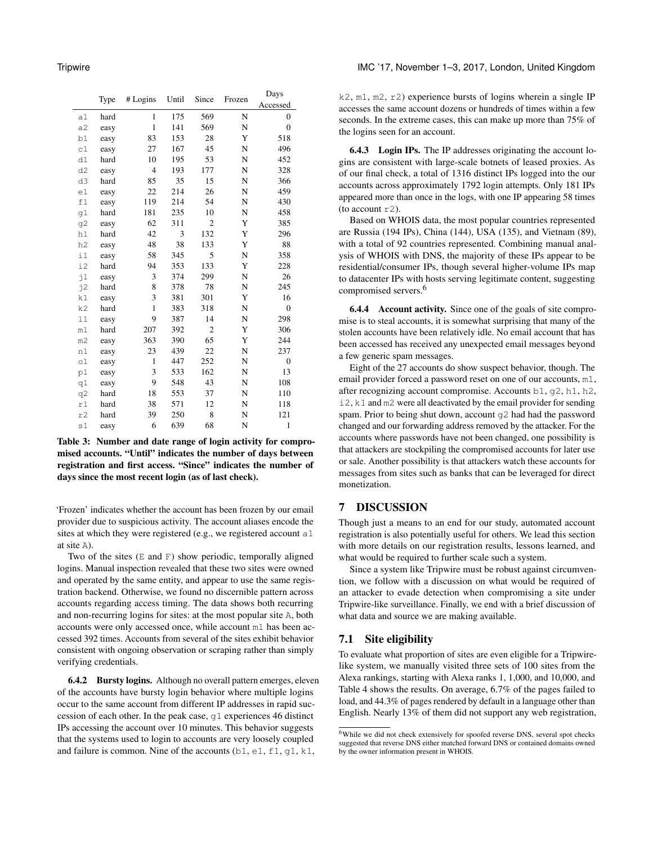<span id="page-10-1"></span>

| Type          |      | # Logins       | Until | Since          | Frozen | Days             |
|---------------|------|----------------|-------|----------------|--------|------------------|
|               |      |                |       |                |        | Accessed         |
| a1            | hard | $\mathbf{1}$   | 175   | 569            | N      | $\overline{0}$   |
| a2            | easy | $\mathbf{1}$   | 141   | 569            | N      | $\overline{0}$   |
| b1            | easy | 83             | 153   | 28             | Y      | 518              |
| $\mathtt{c}1$ | easy | 27             | 167   | 45             | N      | 496              |
| d1            | hard | 10             | 195   | 53             | N      | 452              |
| d2            | easy | $\overline{4}$ | 193   | 177            | N      | 328              |
| d3            | hard | 85             | 35    | 15             | N      | 366              |
| e1            | easy | 22             | 214   | 26             | N      | 459              |
| f1            | easy | 119            | 214   | 54             | N      | 430              |
| q1            | hard | 181            | 235   | 10             | N      | 458              |
| g2            | easy | 62             | 311   | $\overline{2}$ | Y      | 385              |
| h1            | hard | 42             | 3     | 132            | Y      | 296              |
| h2            | easy | 48             | 38    | 133            | Y      | 88               |
| i1            | easy | 58             | 345   | 5              | N      | 358              |
| i2            | hard | 94             | 353   | 133            | Y      | 228              |
| 11            | easy | 3              | 374   | 299            | N      | 26               |
| 12            | hard | 8              | 378   | 78             | N      | 245              |
| k1            | easy | 3              | 381   | 301            | Y      | 16               |
| k2            | hard | $\mathbf{1}$   | 383   | 318            | N      | $\boldsymbol{0}$ |
| 11            | easy | 9              | 387   | 14             | N      | 298              |
| m1            | hard | 207            | 392   | $\overline{2}$ | Y      | 306              |
| m2            | easy | 363            | 390   | 65             | Y      | 244              |
| n1            | easy | 23             | 439   | 22             | N      | 237              |
| $\circ 1$     | easy | $\mathbf{1}$   | 447   | 252            | N      | $\mathbf{0}$     |
| p1            | easy | 3              | 533   | 162            | N      | 13               |
| q1            | easy | 9              | 548   | 43             | N      | 108              |
| q2            | hard | 18             | 553   | 37             | N      | 110              |
| r1            | hard | 38             | 571   | 12             | N      | 118              |
| r2            | hard | 39             | 250   | 8              | N      | 121              |
| s1            | easy | 6              | 639   | 68             | N      | $\mathbf{1}$     |

Table 3: Number and date range of login activity for compromised accounts. "Until" indicates the number of days between registration and first access. "Since" indicates the number of days since the most recent login (as of last check).

'Frozen' indicates whether the account has been frozen by our email provider due to suspicious activity. The account aliases encode the sites at which they were registered (e.g., we registered account a1 at site A).

Two of the sites  $(E \text{ and } F)$  show periodic, temporally aligned logins. Manual inspection revealed that these two sites were owned and operated by the same entity, and appear to use the same registration backend. Otherwise, we found no discernible pattern across accounts regarding access timing. The data shows both recurring and non-recurring logins for sites: at the most popular site A, both accounts were only accessed once, while account m1 has been accessed 392 times. Accounts from several of the sites exhibit behavior consistent with ongoing observation or scraping rather than simply verifying credentials.

6.4.2 Bursty logins. Although no overall pattern emerges, eleven of the accounts have bursty login behavior where multiple logins occur to the same account from different IP addresses in rapid succession of each other. In the peak case, g1 experiences 46 distinct IPs accessing the account over 10 minutes. This behavior suggests that the systems used to login to accounts are very loosely coupled and failure is common. Nine of the accounts  $(b1, e1, f1, g1, k1,$ 

 $k2$ , m1, m2,  $r2$ ) experience bursts of logins wherein a single IP accesses the same account dozens or hundreds of times within a few seconds. In the extreme cases, this can make up more than 75% of the logins seen for an account.

6.4.3 Login IPs. The IP addresses originating the account logins are consistent with large-scale botnets of leased proxies. As of our final check, a total of 1316 distinct IPs logged into the our accounts across approximately 1792 login attempts. Only 181 IPs appeared more than once in the logs, with one IP appearing 58 times  $($ to account  $r2)$ .

Based on WHOIS data, the most popular countries represented are Russia (194 IPs), China (144), USA (135), and Vietnam (89), with a total of 92 countries represented. Combining manual analysis of WHOIS with DNS, the majority of these IPs appear to be residential/consumer IPs, though several higher-volume IPs map to datacenter IPs with hosts serving legitimate content, suggesting compromised servers.<sup>[6](#page-10-2)</sup>

6.4.4 Account activity. Since one of the goals of site compromise is to steal accounts, it is somewhat surprising that many of the stolen accounts have been relatively idle. No email account that has been accessed has received any unexpected email messages beyond a few generic spam messages.

Eight of the 27 accounts do show suspect behavior, though. The email provider forced a password reset on one of our accounts, m1, after recognizing account compromise. Accounts b1, g2, h1, h2, i2, k1 and m2 were all deactivated by the email provider for sending spam. Prior to being shut down, account g2 had had the password changed and our forwarding address removed by the attacker. For the accounts where passwords have not been changed, one possibility is that attackers are stockpiling the compromised accounts for later use or sale. Another possibility is that attackers watch these accounts for messages from sites such as banks that can be leveraged for direct monetization.

# <span id="page-10-0"></span>7 DISCUSSION

Though just a means to an end for our study, automated account registration is also potentially useful for others. We lead this section with more details on our registration results, lessons learned, and what would be required to further scale such a system.

Since a system like Tripwire must be robust against circumvention, we follow with a discussion on what would be required of an attacker to evade detection when compromising a site under Tripwire-like surveillance. Finally, we end with a brief discussion of what data and source we are making available.

# 7.1 Site eligibility

To evaluate what proportion of sites are even eligible for a Tripwirelike system, we manually visited three sets of 100 sites from the Alexa rankings, starting with Alexa ranks 1, 1,000, and 10,000, and Table [4](#page-11-0) shows the results. On average, 6.7% of the pages failed to load, and 44.3% of pages rendered by default in a language other than English. Nearly 13% of them did not support any web registration,

<span id="page-10-2"></span><sup>6</sup>While we did not check extensively for spoofed reverse DNS, several spot checks suggested that reverse DNS either matched forward DNS or contained domains owned by the owner information present in WHOIS.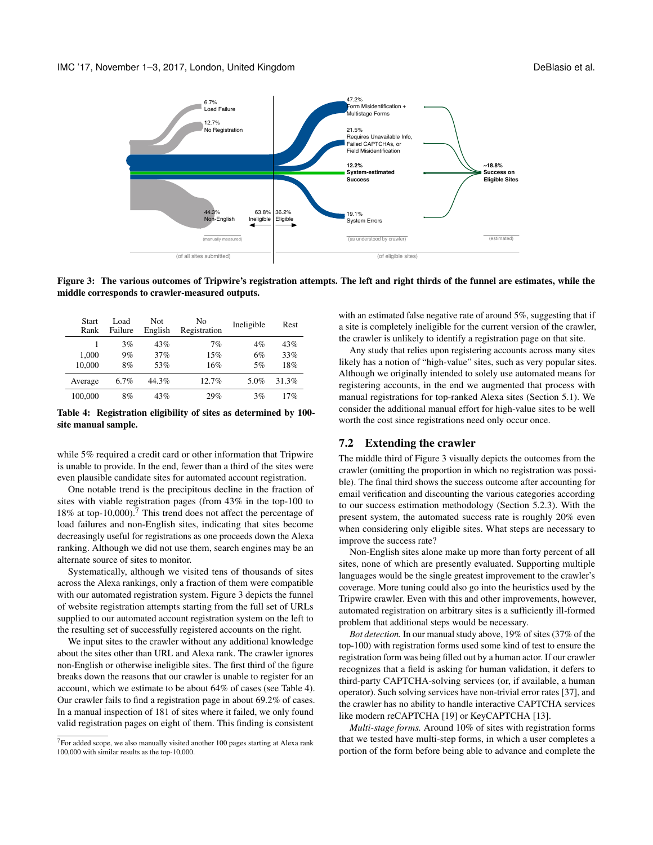<span id="page-11-2"></span>

Figure 3: The various outcomes of Tripwire's registration attempts. The left and right thirds of the funnel are estimates, while the middle corresponds to crawler-measured outputs.

<span id="page-11-0"></span>

| <b>Start</b><br>Rank | Load.<br>Failure | <b>Not</b><br>English | No<br>Registration | Ineligible | Rest  |
|----------------------|------------------|-----------------------|--------------------|------------|-------|
|                      | 3%               | 43%                   | 7%                 | 4%         | 43%   |
| 1.000                | 9%               | 37%                   | 15%                | 6%         | 33%   |
| 10,000               | 8%               | 53%                   | 16%                | 5%         | 18%   |
| Average              | $6.7\%$          | 44.3%                 | 12.7%              | 5.0%       | 31.3% |
| 100,000              | 8%               | 43%                   | 29%                | 3%         | 17%   |

Table 4: Registration eligibility of sites as determined by 100 site manual sample.

while 5% required a credit card or other information that Tripwire is unable to provide. In the end, fewer than a third of the sites were even plausible candidate sites for automated account registration.

One notable trend is the precipitous decline in the fraction of sites with viable registration pages (from 43% in the top-100 to 18% at top-10,000).<sup>[7](#page-11-1)</sup> This trend does not affect the percentage of load failures and non-English sites, indicating that sites become decreasingly useful for registrations as one proceeds down the Alexa ranking. Although we did not use them, search engines may be an alternate source of sites to monitor.

Systematically, although we visited tens of thousands of sites across the Alexa rankings, only a fraction of them were compatible with our automated registration system. Figure [3](#page-11-2) depicts the funnel of website registration attempts starting from the full set of URLs supplied to our automated account registration system on the left to the resulting set of successfully registered accounts on the right.

We input sites to the crawler without any additional knowledge about the sites other than URL and Alexa rank. The crawler ignores non-English or otherwise ineligible sites. The first third of the figure breaks down the reasons that our crawler is unable to register for an account, which we estimate to be about 64% of cases (see Table [4\)](#page-11-0). Our crawler fails to find a registration page in about 69.2% of cases. In a manual inspection of 181 of sites where it failed, we only found valid registration pages on eight of them. This finding is consistent

with an estimated false negative rate of around 5%, suggesting that if a site is completely ineligible for the current version of the crawler, the crawler is unlikely to identify a registration page on that site.

Any study that relies upon registering accounts across many sites likely has a notion of "high-value" sites, such as very popular sites. Although we originally intended to solely use automated means for registering accounts, in the end we augmented that process with manual registrations for top-ranked Alexa sites (Section [5.1\)](#page-4-1). We consider the additional manual effort for high-value sites to be well worth the cost since registrations need only occur once.

# 7.2 Extending the crawler

The middle third of Figure [3](#page-11-2) visually depicts the outcomes from the crawler (omitting the proportion in which no registration was possible). The final third shows the success outcome after accounting for email verification and discounting the various categories according to our success estimation methodology (Section [5.2.3\)](#page-5-3). With the present system, the automated success rate is roughly 20% even when considering only eligible sites. What steps are necessary to improve the success rate?

Non-English sites alone make up more than forty percent of all sites, none of which are presently evaluated. Supporting multiple languages would be the single greatest improvement to the crawler's coverage. More tuning could also go into the heuristics used by the Tripwire crawler. Even with this and other improvements, however, automated registration on arbitrary sites is a sufficiently ill-formed problem that additional steps would be necessary.

*Bot detection.* In our manual study above, 19% of sites (37% of the top-100) with registration forms used some kind of test to ensure the registration form was being filled out by a human actor. If our crawler recognizes that a field is asking for human validation, it defers to third-party CAPTCHA-solving services (or, if available, a human operator). Such solving services have non-trivial error rates [\[37\]](#page-13-40), and the crawler has no ability to handle interactive CAPTCHA services like modern reCAPTCHA [\[19\]](#page-13-41) or KeyCAPTCHA [\[13\]](#page-13-42).

*Multi-stage forms.* Around 10% of sites with registration forms that we tested have multi-step forms, in which a user completes a portion of the form before being able to advance and complete the

<span id="page-11-1"></span> $7$ For added scope, we also manually visited another 100 pages starting at Alexa rank 100,000 with similar results as the top-10,000.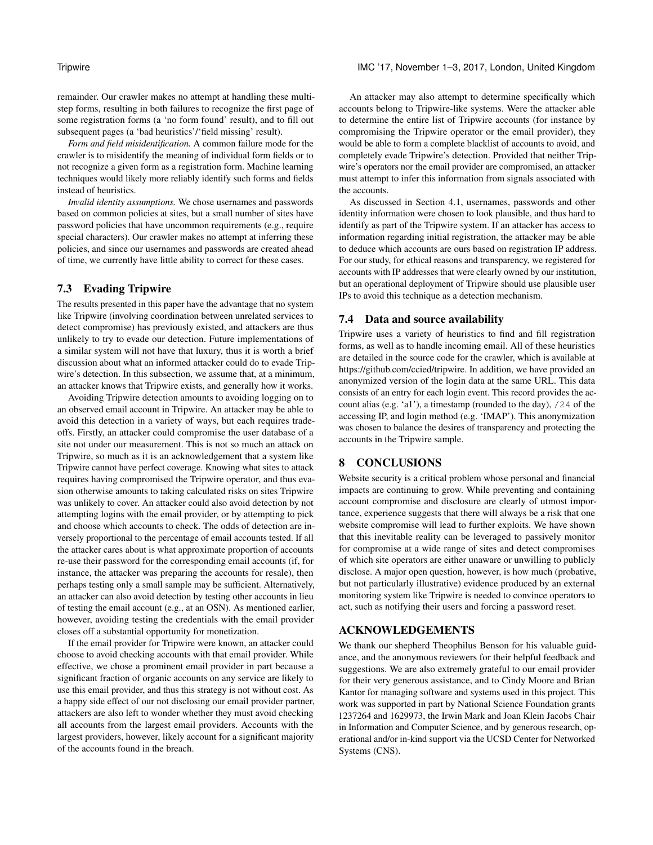remainder. Our crawler makes no attempt at handling these multistep forms, resulting in both failures to recognize the first page of some registration forms (a 'no form found' result), and to fill out subsequent pages (a 'bad heuristics'/'field missing' result).

*Form and field misidentification.* A common failure mode for the crawler is to misidentify the meaning of individual form fields or to not recognize a given form as a registration form. Machine learning techniques would likely more reliably identify such forms and fields instead of heuristics.

*Invalid identity assumptions.* We chose usernames and passwords based on common policies at sites, but a small number of sites have password policies that have uncommon requirements (e.g., require special characters). Our crawler makes no attempt at inferring these policies, and since our usernames and passwords are created ahead of time, we currently have little ability to correct for these cases.

#### 7.3 Evading Tripwire

The results presented in this paper have the advantage that no system like Tripwire (involving coordination between unrelated services to detect compromise) has previously existed, and attackers are thus unlikely to try to evade our detection. Future implementations of a similar system will not have that luxury, thus it is worth a brief discussion about what an informed attacker could do to evade Tripwire's detection. In this subsection, we assume that, at a minimum, an attacker knows that Tripwire exists, and generally how it works.

Avoiding Tripwire detection amounts to avoiding logging on to an observed email account in Tripwire. An attacker may be able to avoid this detection in a variety of ways, but each requires tradeoffs. Firstly, an attacker could compromise the user database of a site not under our measurement. This is not so much an attack on Tripwire, so much as it is an acknowledgement that a system like Tripwire cannot have perfect coverage. Knowing what sites to attack requires having compromised the Tripwire operator, and thus evasion otherwise amounts to taking calculated risks on sites Tripwire was unlikely to cover. An attacker could also avoid detection by not attempting logins with the email provider, or by attempting to pick and choose which accounts to check. The odds of detection are inversely proportional to the percentage of email accounts tested. If all the attacker cares about is what approximate proportion of accounts re-use their password for the corresponding email accounts (if, for instance, the attacker was preparing the accounts for resale), then perhaps testing only a small sample may be sufficient. Alternatively, an attacker can also avoid detection by testing other accounts in lieu of testing the email account (e.g., at an OSN). As mentioned earlier, however, avoiding testing the credentials with the email provider closes off a substantial opportunity for monetization.

If the email provider for Tripwire were known, an attacker could choose to avoid checking accounts with that email provider. While effective, we chose a prominent email provider in part because a significant fraction of organic accounts on any service are likely to use this email provider, and thus this strategy is not without cost. As a happy side effect of our not disclosing our email provider partner, attackers are also left to wonder whether they must avoid checking all accounts from the largest email providers. Accounts with the largest providers, however, likely account for a significant majority of the accounts found in the breach.

#### Tripwire **IMC '17, November 1–3, 2017, London, United Kingdom**

An attacker may also attempt to determine specifically which accounts belong to Tripwire-like systems. Were the attacker able to determine the entire list of Tripwire accounts (for instance by compromising the Tripwire operator or the email provider), they would be able to form a complete blacklist of accounts to avoid, and completely evade Tripwire's detection. Provided that neither Tripwire's operators nor the email provider are compromised, an attacker must attempt to infer this information from signals associated with the accounts.

As discussed in Section [4.1,](#page-2-1) usernames, passwords and other identity information were chosen to look plausible, and thus hard to identify as part of the Tripwire system. If an attacker has access to information regarding initial registration, the attacker may be able to deduce which accounts are ours based on registration IP address. For our study, for ethical reasons and transparency, we registered for accounts with IP addresses that were clearly owned by our institution, but an operational deployment of Tripwire should use plausible user IPs to avoid this technique as a detection mechanism.

#### <span id="page-12-0"></span>7.4 Data and source availability

Tripwire uses a variety of heuristics to find and fill registration forms, as well as to handle incoming email. All of these heuristics are detailed in the source code for the crawler, which is available at [https://github.com/ccied/tripwire.](https://github.com/ccied/tripwire) In addition, we have provided an anonymized version of the login data at the same URL. This data consists of an entry for each login event. This record provides the account alias (e.g. 'a1'), a timestamp (rounded to the day), /24 of the accessing IP, and login method (e.g. 'IMAP'). This anonymization was chosen to balance the desires of transparency and protecting the accounts in the Tripwire sample.

# 8 CONCLUSIONS

Website security is a critical problem whose personal and financial impacts are continuing to grow. While preventing and containing account compromise and disclosure are clearly of utmost importance, experience suggests that there will always be a risk that one website compromise will lead to further exploits. We have shown that this inevitable reality can be leveraged to passively monitor for compromise at a wide range of sites and detect compromises of which site operators are either unaware or unwilling to publicly disclose. A major open question, however, is how much (probative, but not particularly illustrative) evidence produced by an external monitoring system like Tripwire is needed to convince operators to act, such as notifying their users and forcing a password reset.

### ACKNOWLEDGEMENTS

We thank our shepherd Theophilus Benson for his valuable guidance, and the anonymous reviewers for their helpful feedback and suggestions. We are also extremely grateful to our email provider for their very generous assistance, and to Cindy Moore and Brian Kantor for managing software and systems used in this project. This work was supported in part by National Science Foundation grants 1237264 and 1629973, the Irwin Mark and Joan Klein Jacobs Chair in Information and Computer Science, and by generous research, operational and/or in-kind support via the UCSD Center for Networked Systems (CNS).